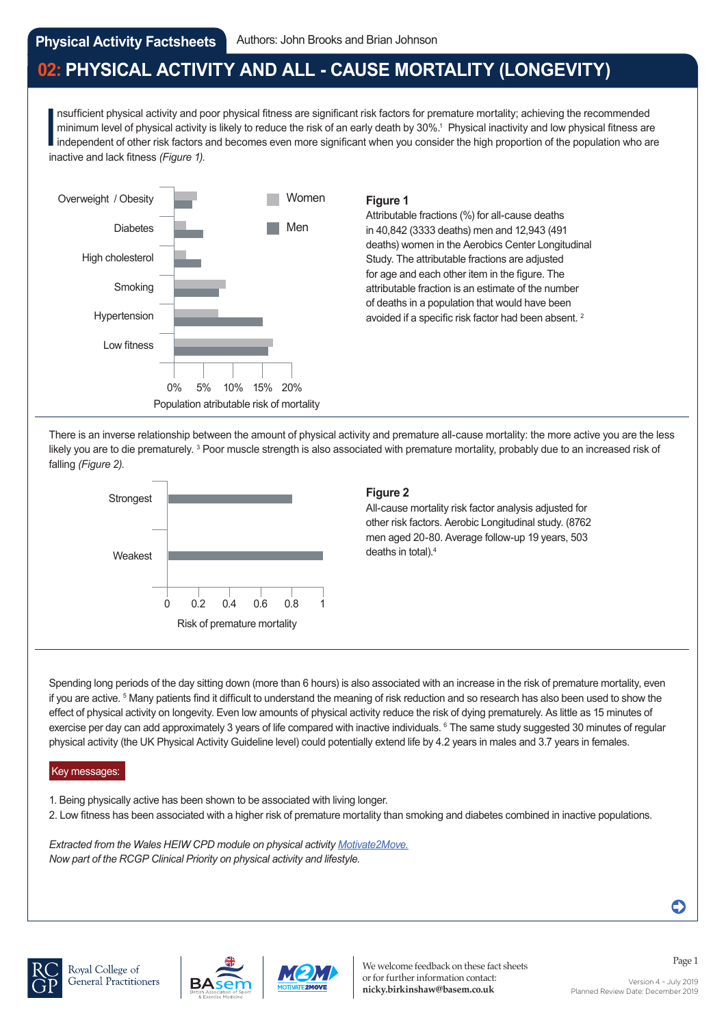# **02: PHYSICAL ACTIVITY AND ALL - CAUSE MORTALITY (LONGEVITY)**

nsufficient physical activity and pominimum level of physical activity<br>independent of other risk factors and lack fitness (*Figure 1)*. nsufficient physical activity and poor physical fitness are significant risk factors for premature mortality; achieving the recommended minimum level of physical activity is likely to reduce the risk of an early death by 30%.<sup>1</sup> Physical inactivity and low physical fitness are independent of other risk factors and becomes even more significant when you consider the high proportion of the population who are



### **Figure 1**

Attributable fractions (%) for all-cause deaths in 40,842 (3333 deaths) men and 12,943 (491 deaths) women in the Aerobics Center Longitudinal Study. The attributable fractions are adjusted for age and each other item in the figure. The attributable fraction is an estimate of the number of deaths in a population that would have been avoided if a specific risk factor had been absent. 2

There is an inverse relationship between the amount of physical activity and premature all-cause mortality: the more active you are the less likely you are to die prematurely. <sup>3</sup> Poor muscle strength is also associated with premature mortality, probably due to an increased risk of falling *(Figure 2).*



### **Figure 2**

All-cause mortality risk factor analysis adjusted for other risk factors. Aerobic Longitudinal study. (8762 men aged 20-80. Average follow-up 19 years, 503 deaths in total).4

Spending long periods of the day sitting down (more than 6 hours) is also associated with an increase in the risk of premature mortality, even if you are active. <sup>5</sup> Many patients find it difficult to understand the meaning of risk reduction and so research has also been used to show the effect of physical activity on longevity. Even low amounts of physical activity reduce the risk of dying prematurely. As little as 15 minutes of exercise per day can add approximately 3 years of life compared with inactive individuals. 6 The same study suggested 30 minutes of regular physical activity (the UK Physical Activity Guideline level) could potentially extend life by 4.2 years in males and 3.7 years in females.

### Key messages:

- 1. Being physically active has been shown to be associated with living longer.
- 2. Low fitness has been associated with a higher risk of premature mortality than smoking and diabetes combined in inactive populations.

*[Extracted from the Wales HEIW CPD module on physical activity Motivate2Move.](https://gpcpd.heiw.wales/clinical/motivate-2-move/) Now part of the RCGP Clinical Priority on physical activity and lifestyle.* 







Page 1 We welcome feedback on these fact sheets or for further information contact: **nicky.birkinshaw@basem.co.uk**